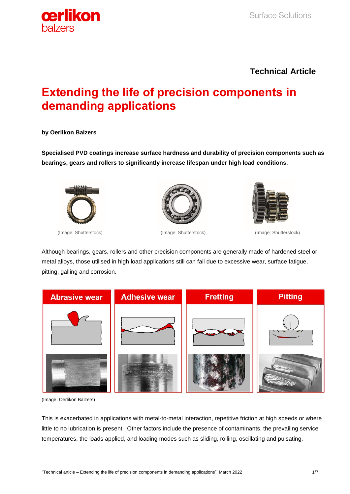

## **Technical Article**

# **Extending the life of precision components in demanding applications**

#### **by Oerlikon Balzers**

**Specialised PVD coatings increase surface hardness and durability of precision components such as bearings, gears and rollers to significantly increase lifespan under high load conditions.**







(Image: Shutterstock) (Image: Shutterstock) (Image: Shutterstock)

Although bearings, gears, rollers and other precision components are generally made of hardened steel or metal alloys, those utilised in high load applications still can fail due to excessive wear, surface fatigue, pitting, galling and corrosion.



(Image: Oerlikon Balzers)

This is exacerbated in applications with metal-to-metal interaction, repetitive friction at high speeds or where little to no lubrication is present. Other factors include the presence of contaminants, the prevailing service temperatures, the loads applied, and loading modes such as sliding, rolling, oscillating and pulsating.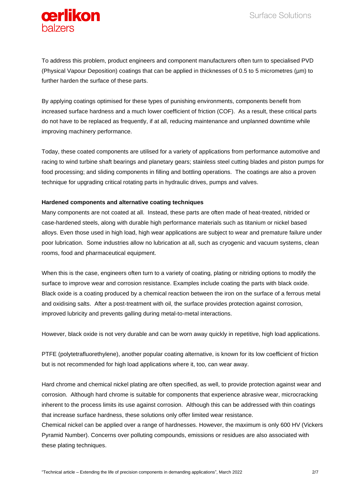



To address this problem, product engineers and component manufacturers often turn to specialised PVD (Physical Vapour Deposition) coatings that can be applied in thicknesses of 0.5 to 5 micrometres (µm) to further harden the surface of these parts.

By applying coatings optimised for these types of punishing environments, components benefit from increased surface hardness and a much lower coefficient of friction (COF). As a result, these critical parts do not have to be replaced as frequently, if at all, reducing maintenance and unplanned downtime while improving machinery performance.

Today, these coated components are utilised for a variety of applications from performance automotive and racing to wind turbine shaft bearings and planetary gears; stainless steel cutting blades and piston pumps for food processing; and sliding components in filling and bottling operations. The coatings are also a proven technique for upgrading critical rotating parts in hydraulic drives, pumps and valves.

### **Hardened components and alternative coating techniques**

Many components are not coated at all. Instead, these parts are often made of heat-treated, nitrided or case-hardened steels, along with durable high performance materials such as titanium or nickel based alloys. Even those used in high load, high wear applications are subject to wear and premature failure under poor lubrication. Some industries allow no lubrication at all, such as cryogenic and vacuum systems, clean rooms, food and pharmaceutical equipment.

When this is the case, engineers often turn to a variety of coating, plating or nitriding options to modify the surface to improve wear and corrosion resistance. Examples include coating the parts with black oxide. Black oxide is a coating produced by a chemical reaction between the iron on the surface of a ferrous metal and oxidising salts. After a post-treatment with oil, the surface provides protection against corrosion, improved lubricity and prevents galling during metal-to-metal interactions.

However, black oxide is not very durable and can be worn away quickly in repetitive, high load applications.

PTFE (polytetrafluorethylene), another popular coating alternative, is known for its low coefficient of friction but is not recommended for high load applications where it, too, can wear away.

Hard chrome and chemical nickel plating are often specified, as well, to provide protection against wear and corrosion. Although hard chrome is suitable for components that experience abrasive wear, microcracking inherent to the process limits its use against corrosion. Although this can be addressed with thin coatings that increase surface hardness, these solutions only offer limited wear resistance.

Chemical nickel can be applied over a range of hardnesses. However, the maximum is only 600 HV (Vickers Pyramid Number). Concerns over polluting compounds, emissions or residues are also associated with these plating techniques.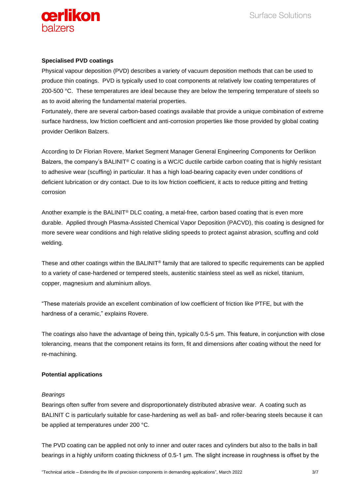

### **Specialised PVD coatings**

Physical vapour deposition (PVD) describes a variety of vacuum deposition methods that can be used to produce thin coatings. PVD is typically used to coat components at relatively low coating temperatures of 200-500 °C. These temperatures are ideal because they are below the tempering temperature of steels so as to avoid altering the fundamental material properties.

Fortunately, there are several carbon-based coatings available that provide a unique combination of extreme surface hardness, low friction coefficient and anti-corrosion properties like those provided by global coating provider Oerlikon Balzers.

According to Dr Florian Rovere, Market Segment Manager General Engineering Components for Oerlikon Balzers, the company's BALINIT® C coating is a WC/C ductile carbide carbon coating that is highly resistant to adhesive wear (scuffing) in particular. It has a high load-bearing capacity even under conditions of deficient lubrication or dry contact. Due to its low friction coefficient, it acts to reduce pitting and fretting corrosion

Another example is the BALINIT® DLC coating, a metal-free, carbon based coating that is even more durable. Applied through Plasma-Assisted Chemical Vapor Deposition (PACVD), this coating is designed for more severe wear conditions and high relative sliding speeds to protect against abrasion, scuffing and cold welding.

These and other coatings within the BALINIT® family that are tailored to specific requirements can be applied to a variety of case-hardened or tempered steels, austenitic stainless steel as well as nickel, titanium, copper, magnesium and aluminium alloys.

"These materials provide an excellent combination of low coefficient of friction like PTFE, but with the hardness of a ceramic," explains Rovere.

The coatings also have the advantage of being thin, typically 0.5-5 μm. This feature, in conjunction with close tolerancing, means that the component retains its form, fit and dimensions after coating without the need for re-machining.

### **Potential applications**

### *Bearings*

Bearings often suffer from severe and disproportionately distributed abrasive wear. A coating such as BALINIT C is particularly suitable for case-hardening as well as ball- and roller-bearing steels because it can be applied at temperatures under 200 °C.

The PVD coating can be applied not only to inner and outer races and cylinders but also to the balls in ball bearings in a highly uniform coating thickness of 0.5-1 μm. The slight increase in roughness is offset by the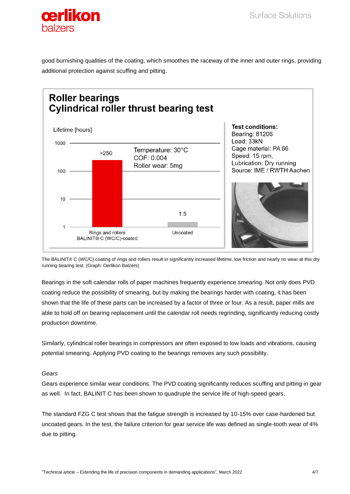

good burnishing qualities of the coating, which smoothes the raceway of the inner and outer rings, providing additional protection against scuffing and pitting.



The BALINIT® C (WC/C) coating of rings and rollers result in significantly increased lifetime, low friction and nearly no wear at this dry running bearing test. (Graph: Oerlikon Balzers)

Bearings in the soft calendar rolls of paper machines frequently experience smearing. Not only does PVD coating reduce the possibility of smearing, but by making the bearings harder with coating, it has been shown that the life of these parts can be increased by a factor of three or four. As a result, paper mills are able to hold off on bearing replacement until the calendar roll needs regrinding, significantly reducing costly production downtime.

Similarly, cylindrical roller bearings in compressors are often exposed to low loads and vibrations, causing potential smearing. Applying PVD coating to the bearings removes any such possibility.

### *Gears*

Gears experience similar wear conditions. The PVD coating significantly reduces scuffing and pitting in gear as well. In fact, BALINIT C has been shown to quadruple the service life of high-speed gears.

The standard FZG C test shows that the fatigue strength is increased by 10-15% over case-hardened but uncoated gears. In the test, the failure criterion for gear service life was defined as single-tooth wear of 4% due to pitting.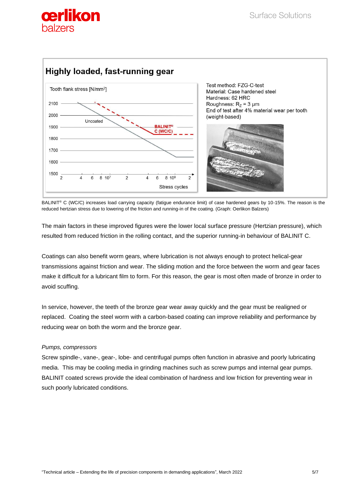



BALINIT® C (WC/C) increases load carrying capacity (fatigue endurance limit) of case hardened gears by 10-15%. The reason is the reduced hertzian stress due to lowering of the friction and running-in of the coating. (Graph: Oerlikon Balzers)

The main factors in these improved figures were the lower local surface pressure (Hertzian pressure), which resulted from reduced friction in the rolling contact, and the superior running-in behaviour of BALINIT C.

Coatings can also benefit worm gears, where lubrication is not always enough to protect helical-gear transmissions against friction and wear. The sliding motion and the force between the worm and gear faces make it difficult for a lubricant film to form. For this reason, the gear is most often made of bronze in order to avoid scuffing.

In service, however, the teeth of the bronze gear wear away quickly and the gear must be realigned or replaced. Coating the steel worm with a carbon-based coating can improve reliability and performance by reducing wear on both the worm and the bronze gear.

### *Pumps, compressors*

Screw spindle-, vane-, gear-, lobe- and centrifugal pumps often function in abrasive and poorly lubricating media. This may be cooling media in grinding machines such as screw pumps and internal gear pumps. BALINIT coated screws provide the ideal combination of hardness and low friction for preventing wear in such poorly lubricated conditions.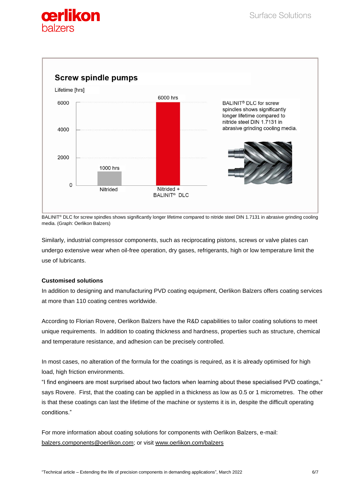



BALINIT<sup>®</sup> DLC for screw spindles shows significantly longer lifetime compared to nitride steel DIN 1.7131 in abrasive grinding cooling media. (Graph: Oerlikon Balzers)

Similarly, industrial compressor components, such as reciprocating pistons, screws or valve plates can undergo extensive wear when oil-free operation, dry gases, refrigerants, high or low temperature limit the use of lubricants.

### **Customised solutions**

In addition to designing and manufacturing PVD coating equipment, Oerlikon Balzers offers coating services at more than 110 coating centres worldwide.

According to Florian Rovere, Oerlikon Balzers have the R&D capabilities to tailor coating solutions to meet unique requirements. In addition to coating thickness and hardness, properties such as structure, chemical and temperature resistance, and adhesion can be precisely controlled.

In most cases, no alteration of the formula for the coatings is required, as it is already optimised for high load, high friction environments.

"I find engineers are most surprised about two factors when learning about these specialised PVD coatings," says Rovere. First, that the coating can be applied in a thickness as low as 0.5 or 1 micrometres. The other is that these coatings can last the lifetime of the machine or systems it is in, despite the difficult operating conditions."

For more information about coating solutions for components with Oerlikon Balzers, e-mail: [balzers.components@oerlikon.com;](mailto:balzers.components@oerlikon.com) or visit [www.oerlikon.com/balzers](http://www.oerlikon.com/balzers)